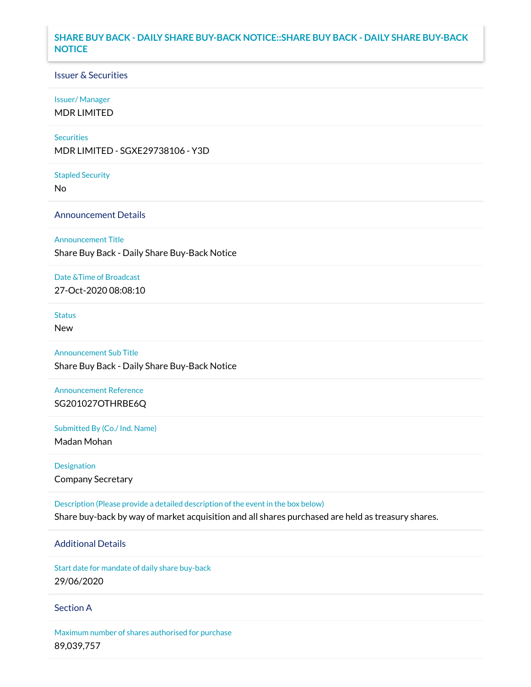# **SHARE BUY BACK - DAILY SHARE BUY-BACK NOTICE::SHARE BUY BACK - DAILY SHARE BUY-BACK NOTICE**

### Issuer & Securities

#### Issuer/ Manager

MDR LIMITED

#### **Securities**

MDR LIMITED - SGXE29738106 - Y3D

Stapled Security

No

### Announcement Details

Announcement Title

Share Buy Back - Daily Share Buy-Back Notice

# Date &Time of Broadcast

27-Oct-2020 08:08:10

# Status

New

# Announcement Sub Title

Share Buy Back - Daily Share Buy-Back Notice

# Announcement Reference SG201027OTHRBE6Q

Submitted By (Co./ Ind. Name)

Madan Mohan

Designation Company Secretary

Description (Please provide a detailed description of the event in the box below) Share buy-back by way of market acquisition and all shares purchased are held as treasury shares.

## Additional Details

Start date for mandate of daily share buy-back 29/06/2020

### Section A

Maximum number of shares authorised for purchase 89,039,757